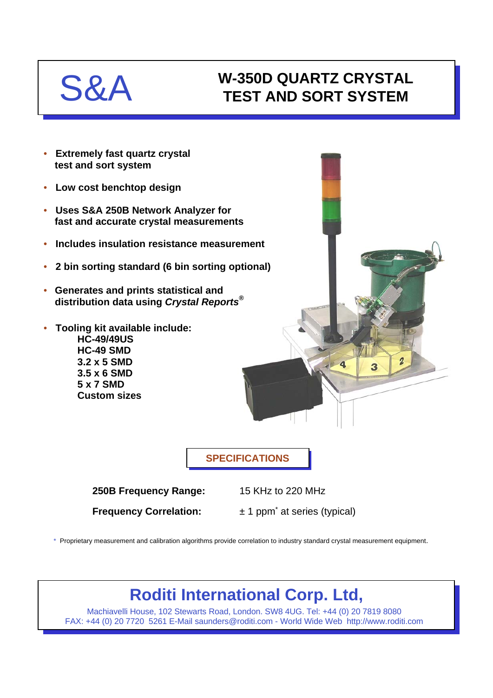# S&A

## **W-350D QUARTZ CRYSTAL TEST AND SORT SYSTEM**

- **Extremely fast quartz crystal test and sort system**
- **Low cost benchtop design**
- **Uses S&A 250B Network Analyzer for fast and accurate crystal measurements**
- **Includes insulation resistance measurement**
- **2 bin sorting standard (6 bin sorting optional)**
- **Generates and prints statistical and distribution data using** *Crystal Reports®*
- **Tooling kit available include: HC-49/49US HC-49 SMD 3.2 x 5 SMD 3.5 x 6 SMD 5 x 7 SMD Custom sizes**

**SPECIFICATIONS**

**250B Frequency Range:** 15 KHz to 220 MHz

**Frequency Correlation:**  $\pm 1$  ppm<sup>\*</sup> at series (typical)

\* Proprietary measurement and calibration algorithms provide correlation to industry standard crystal measurement equipment.

## **Roditi International Corp. Ltd,**

Machiavelli House, 102 Stewarts Road, London. SW8 4UG. Tel: +44 (0) 20 7819 8080 FAX: +44 (0) 20 7720 5261 E-Mail saunders@roditi.com - World Wide Web http://www.roditi.com